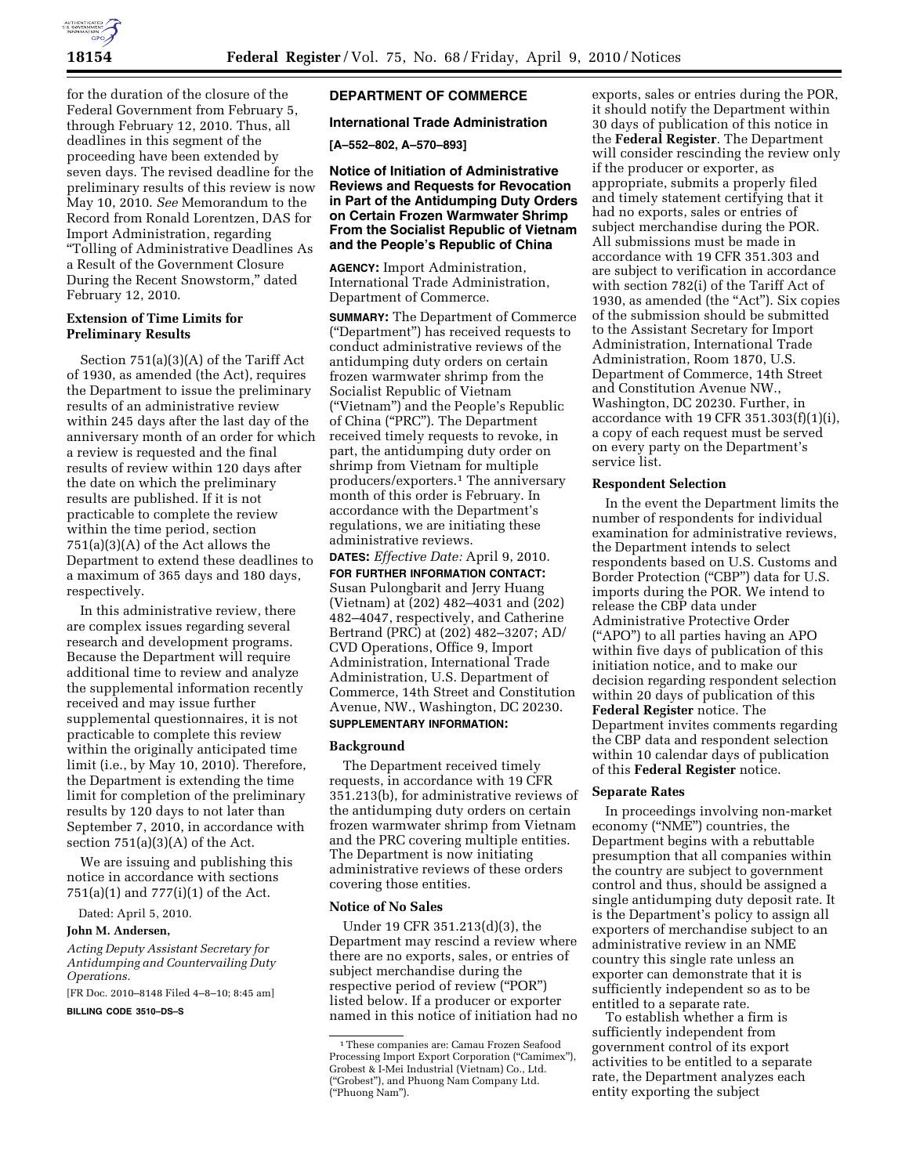

for the duration of the closure of the Federal Government from February 5, through February 12, 2010. Thus, all deadlines in this segment of the proceeding have been extended by seven days. The revised deadline for the preliminary results of this review is now May 10, 2010. *See* Memorandum to the Record from Ronald Lorentzen, DAS for Import Administration, regarding ''Tolling of Administrative Deadlines As a Result of the Government Closure During the Recent Snowstorm,'' dated February 12, 2010.

## **Extension of Time Limits for Preliminary Results**

Section 751(a)(3)(A) of the Tariff Act of 1930, as amended (the Act), requires the Department to issue the preliminary results of an administrative review within 245 days after the last day of the anniversary month of an order for which a review is requested and the final results of review within 120 days after the date on which the preliminary results are published. If it is not practicable to complete the review within the time period, section 751(a)(3)(A) of the Act allows the Department to extend these deadlines to a maximum of 365 days and 180 days, respectively.

In this administrative review, there are complex issues regarding several research and development programs. Because the Department will require additional time to review and analyze the supplemental information recently received and may issue further supplemental questionnaires, it is not practicable to complete this review within the originally anticipated time limit (i.e., by May 10, 2010). Therefore, the Department is extending the time limit for completion of the preliminary results by 120 days to not later than September 7, 2010, in accordance with section  $751(a)(3)(A)$  of the Act.

We are issuing and publishing this notice in accordance with sections 751(a)(1) and 777(i)(1) of the Act.

Dated: April 5, 2010.

#### **John M. Andersen,**

*Acting Deputy Assistant Secretary for Antidumping and Countervailing Duty Operations.* 

[FR Doc. 2010–8148 Filed 4–8–10; 8:45 am]

**BILLING CODE 3510–DS–S** 

## **DEPARTMENT OF COMMERCE**

## **International Trade Administration**

**[A–552–802, A–570–893]** 

**Notice of Initiation of Administrative Reviews and Requests for Revocation in Part of the Antidumping Duty Orders on Certain Frozen Warmwater Shrimp From the Socialist Republic of Vietnam and the People's Republic of China** 

**AGENCY:** Import Administration, International Trade Administration, Department of Commerce.

**SUMMARY:** The Department of Commerce (''Department'') has received requests to conduct administrative reviews of the antidumping duty orders on certain frozen warmwater shrimp from the Socialist Republic of Vietnam (''Vietnam'') and the People's Republic of China (''PRC''). The Department received timely requests to revoke, in part, the antidumping duty order on shrimp from Vietnam for multiple producers/exporters.1 The anniversary month of this order is February. In accordance with the Department's regulations, we are initiating these administrative reviews.

**DATES:** *Effective Date:* April 9, 2010. **FOR FURTHER INFORMATION CONTACT:**  Susan Pulongbarit and Jerry Huang (Vietnam) at (202) 482–4031 and (202) 482–4047, respectively, and Catherine Bertrand (PRC) at (202) 482–3207; AD/ CVD Operations, Office 9, Import Administration, International Trade Administration, U.S. Department of Commerce, 14th Street and Constitution Avenue, NW., Washington, DC 20230.

# **SUPPLEMENTARY INFORMATION:**

## **Background**

The Department received timely requests, in accordance with 19 CFR 351.213(b), for administrative reviews of the antidumping duty orders on certain frozen warmwater shrimp from Vietnam and the PRC covering multiple entities. The Department is now initiating administrative reviews of these orders covering those entities.

#### **Notice of No Sales**

Under 19 CFR 351.213(d)(3), the Department may rescind a review where there are no exports, sales, or entries of subject merchandise during the respective period of review (''POR'') listed below. If a producer or exporter named in this notice of initiation had no

exports, sales or entries during the POR, it should notify the Department within 30 days of publication of this notice in the **Federal Register**. The Department will consider rescinding the review only if the producer or exporter, as appropriate, submits a properly filed and timely statement certifying that it had no exports, sales or entries of subject merchandise during the POR. All submissions must be made in accordance with 19 CFR 351.303 and are subject to verification in accordance with section 782(i) of the Tariff Act of 1930, as amended (the "Act"). Six copies of the submission should be submitted to the Assistant Secretary for Import Administration, International Trade Administration, Room 1870, U.S. Department of Commerce, 14th Street and Constitution Avenue NW., Washington, DC 20230. Further, in accordance with 19 CFR 351.303(f)(1)(i), a copy of each request must be served on every party on the Department's service list.

## **Respondent Selection**

In the event the Department limits the number of respondents for individual examination for administrative reviews, the Department intends to select respondents based on U.S. Customs and Border Protection ("CBP") data for U.S. imports during the POR. We intend to release the CBP data under Administrative Protective Order (''APO'') to all parties having an APO within five days of publication of this initiation notice, and to make our decision regarding respondent selection within 20 days of publication of this **Federal Register** notice. The Department invites comments regarding the CBP data and respondent selection within 10 calendar days of publication of this **Federal Register** notice.

## **Separate Rates**

In proceedings involving non-market economy (''NME'') countries, the Department begins with a rebuttable presumption that all companies within the country are subject to government control and thus, should be assigned a single antidumping duty deposit rate. It is the Department's policy to assign all exporters of merchandise subject to an administrative review in an NME country this single rate unless an exporter can demonstrate that it is sufficiently independent so as to be entitled to a separate rate.

To establish whether a firm is sufficiently independent from government control of its export activities to be entitled to a separate rate, the Department analyzes each entity exporting the subject

<sup>1</sup>These companies are: Camau Frozen Seafood Processing Import Export Corporation ("Camimex"), Grobest & I-Mei Industrial (Vietnam) Co., Ltd. (''Grobest''), and Phuong Nam Company Ltd. (''Phuong Nam'').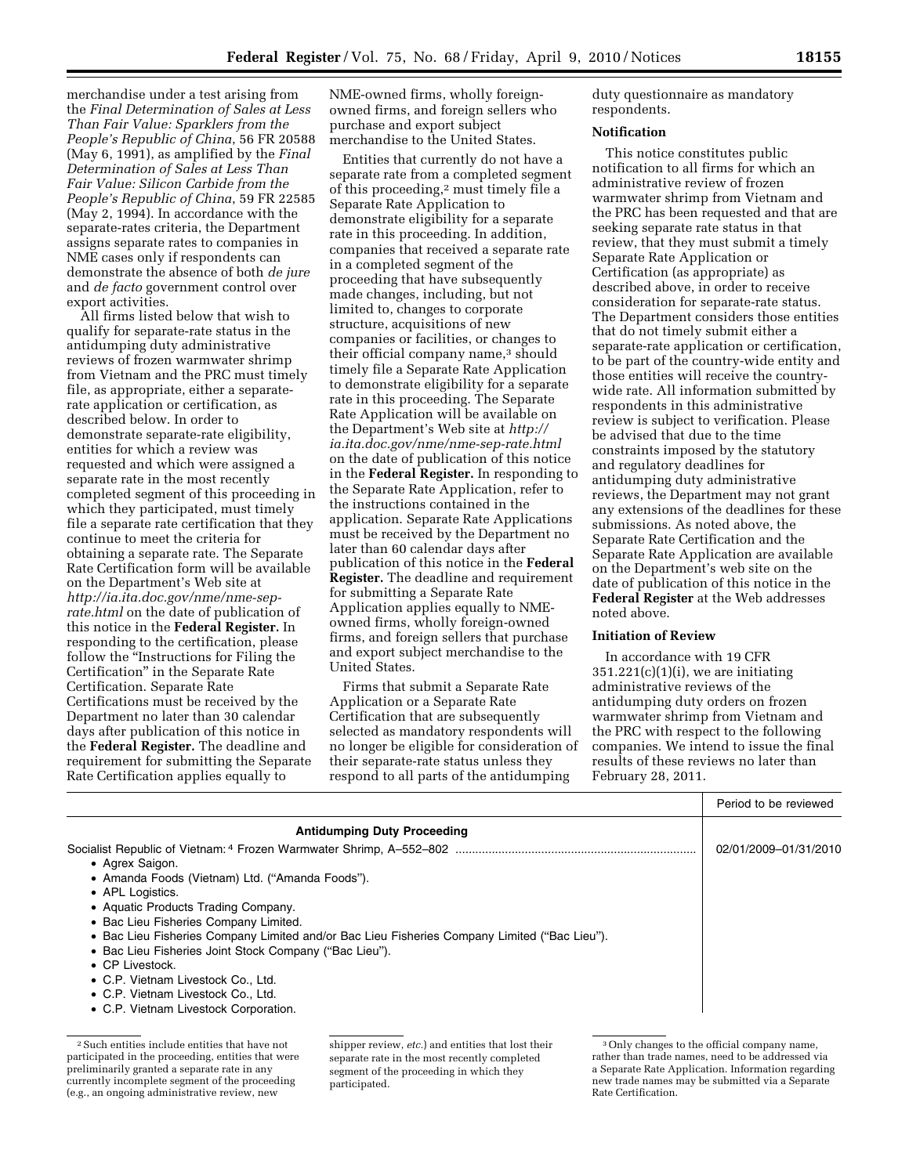merchandise under a test arising from the *Final Determination of Sales at Less Than Fair Value: Sparklers from the People's Republic of China*, 56 FR 20588 (May 6, 1991), as amplified by the *Final Determination of Sales at Less Than Fair Value: Silicon Carbide from the People's Republic of China*, 59 FR 22585 (May 2, 1994). In accordance with the separate-rates criteria, the Department assigns separate rates to companies in NME cases only if respondents can demonstrate the absence of both *de jure*  and *de facto* government control over export activities.

All firms listed below that wish to qualify for separate-rate status in the antidumping duty administrative reviews of frozen warmwater shrimp from Vietnam and the PRC must timely file, as appropriate, either a separaterate application or certification, as described below. In order to demonstrate separate-rate eligibility, entities for which a review was requested and which were assigned a separate rate in the most recently completed segment of this proceeding in which they participated, must timely file a separate rate certification that they continue to meet the criteria for obtaining a separate rate. The Separate Rate Certification form will be available on the Department's Web site at *http://ia.ita.doc.gov/nme/nme-seprate.html* on the date of publication of this notice in the **Federal Register.** In responding to the certification, please follow the ''Instructions for Filing the Certification'' in the Separate Rate Certification. Separate Rate Certifications must be received by the Department no later than 30 calendar days after publication of this notice in the **Federal Register.** The deadline and requirement for submitting the Separate Rate Certification applies equally to

NME-owned firms, wholly foreignowned firms, and foreign sellers who purchase and export subject merchandise to the United States.

Entities that currently do not have a separate rate from a completed segment of this proceeding,2 must timely file a Separate Rate Application to demonstrate eligibility for a separate rate in this proceeding. In addition, companies that received a separate rate in a completed segment of the proceeding that have subsequently made changes, including, but not limited to, changes to corporate structure, acquisitions of new companies or facilities, or changes to their official company name,<sup>3</sup> should timely file a Separate Rate Application to demonstrate eligibility for a separate rate in this proceeding. The Separate Rate Application will be available on the Department's Web site at *http:// ia.ita.doc.gov/nme/nme-sep-rate.html*  on the date of publication of this notice in the **Federal Register.** In responding to the Separate Rate Application, refer to the instructions contained in the application. Separate Rate Applications must be received by the Department no later than 60 calendar days after publication of this notice in the **Federal Register.** The deadline and requirement for submitting a Separate Rate Application applies equally to NMEowned firms, wholly foreign-owned firms, and foreign sellers that purchase and export subject merchandise to the United States.

Firms that submit a Separate Rate Application or a Separate Rate Certification that are subsequently selected as mandatory respondents will no longer be eligible for consideration of their separate-rate status unless they respond to all parts of the antidumping

duty questionnaire as mandatory respondents.

## **Notification**

This notice constitutes public notification to all firms for which an administrative review of frozen warmwater shrimp from Vietnam and the PRC has been requested and that are seeking separate rate status in that review, that they must submit a timely Separate Rate Application or Certification (as appropriate) as described above, in order to receive consideration for separate-rate status. The Department considers those entities that do not timely submit either a separate-rate application or certification, to be part of the country-wide entity and those entities will receive the countrywide rate. All information submitted by respondents in this administrative review is subject to verification. Please be advised that due to the time constraints imposed by the statutory and regulatory deadlines for antidumping duty administrative reviews, the Department may not grant any extensions of the deadlines for these submissions. As noted above, the Separate Rate Certification and the Separate Rate Application are available on the Department's web site on the date of publication of this notice in the **Federal Register** at the Web addresses noted above.

## **Initiation of Review**

In accordance with 19 CFR  $351.221(c)(1)(i)$ , we are initiating administrative reviews of the antidumping duty orders on frozen warmwater shrimp from Vietnam and the PRC with respect to the following companies. We intend to issue the final results of these reviews no later than February 28, 2011.

|                                                                                              | Period to be reviewed |
|----------------------------------------------------------------------------------------------|-----------------------|
| <b>Antidumping Duty Proceeding</b>                                                           |                       |
|                                                                                              | 02/01/2009-01/31/2010 |
| • Agrex Saigon.                                                                              |                       |
| • Amanda Foods (Vietnam) Ltd. ("Amanda Foods").                                              |                       |
| • APL Logistics.                                                                             |                       |
| • Aquatic Products Trading Company.                                                          |                       |
| • Bac Lieu Fisheries Company Limited.                                                        |                       |
| • Bac Lieu Fisheries Company Limited and/or Bac Lieu Fisheries Company Limited ("Bac Lieu"). |                       |
| • Bac Lieu Fisheries Joint Stock Company ("Bac Lieu").                                       |                       |
| $\bullet$ CP Livestock.                                                                      |                       |
| • C.P. Vietnam Livestock Co., Ltd.                                                           |                       |
| • C.P. Vietnam Livestock Co., Ltd.                                                           |                       |
| • C.P. Vietnam Livestock Corporation.                                                        |                       |
|                                                                                              |                       |
|                                                                                              |                       |

<sup>2</sup>Such entities include entities that have not participated in the proceeding, entities that were preliminarily granted a separate rate in any currently incomplete segment of the proceeding (e.g., an ongoing administrative review, new

shipper review, *etc.*) and entities that lost their separate rate in the most recently completed segment of the proceeding in which they participated.

<sup>3</sup>Only changes to the official company name, rather than trade names, need to be addressed via a Separate Rate Application. Information regarding new trade names may be submitted via a Separate Rate Certification.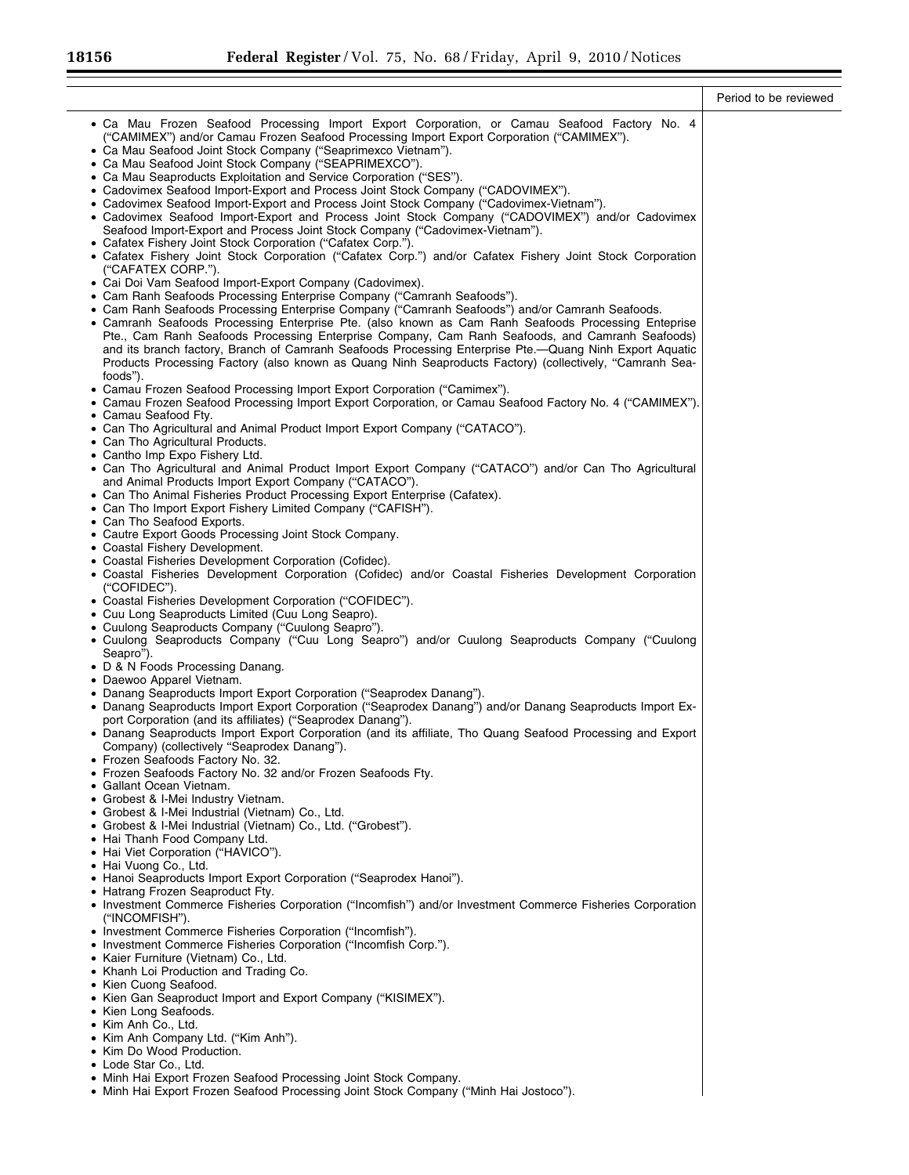|                                                                                                                                                                                                                                                                                                                                                                                                                                                                                                                                                                                                                                                                                                                                                                                                                                                                                                                                                                                                                                                                                                                                                                                                                                                                                                                                                                                                                                                                                                                                                                                                                                                                                                                                                                                                                                                                                                                                                                                                                                                                                                                                                                                                                                                                                                                                               | Period to be reviewed |
|-----------------------------------------------------------------------------------------------------------------------------------------------------------------------------------------------------------------------------------------------------------------------------------------------------------------------------------------------------------------------------------------------------------------------------------------------------------------------------------------------------------------------------------------------------------------------------------------------------------------------------------------------------------------------------------------------------------------------------------------------------------------------------------------------------------------------------------------------------------------------------------------------------------------------------------------------------------------------------------------------------------------------------------------------------------------------------------------------------------------------------------------------------------------------------------------------------------------------------------------------------------------------------------------------------------------------------------------------------------------------------------------------------------------------------------------------------------------------------------------------------------------------------------------------------------------------------------------------------------------------------------------------------------------------------------------------------------------------------------------------------------------------------------------------------------------------------------------------------------------------------------------------------------------------------------------------------------------------------------------------------------------------------------------------------------------------------------------------------------------------------------------------------------------------------------------------------------------------------------------------------------------------------------------------------------------------------------------------|-----------------------|
| • Ca Mau Frozen Seafood Processing Import Export Corporation, or Camau Seafood Factory No. 4<br>("CAMIMEX") and/or Camau Frozen Seafood Processing Import Export Corporation ("CAMIMEX").<br>• Ca Mau Seafood Joint Stock Company ("Seaprimexco Vietnam").<br>• Ca Mau Seafood Joint Stock Company ("SEAPRIMEXCO").<br>• Ca Mau Seaproducts Exploitation and Service Corporation ("SES").<br>• Cadovimex Seafood Import-Export and Process Joint Stock Company ("CADOVIMEX").<br>• Cadovimex Seafood Import-Export and Process Joint Stock Company ("Cadovimex-Vietnam").<br>• Cadovimex Seafood Import-Export and Process Joint Stock Company ("CADOVIMEX") and/or Cadovimex<br>Seafood Import-Export and Process Joint Stock Company ("Cadovimex-Vietnam").<br>• Cafatex Fishery Joint Stock Corporation ("Cafatex Corp.").<br>• Cafatex Fishery Joint Stock Corporation ("Cafatex Corp.") and/or Cafatex Fishery Joint Stock Corporation<br>("CAFATEX CORP.").<br>• Cai Doi Vam Seafood Import-Export Company (Cadovimex).<br>• Cam Ranh Seafoods Processing Enterprise Company ("Camranh Seafoods").<br>• Cam Ranh Seafoods Processing Enterprise Company ("Camranh Seafoods") and/or Camranh Seafoods.<br>• Camranh Seafoods Processing Enterprise Pte. (also known as Cam Ranh Seafoods Processing Enteprise<br>Pte., Cam Ranh Seafoods Processing Enterprise Company, Cam Ranh Seafoods, and Camranh Seafoods)<br>and its branch factory, Branch of Camranh Seafoods Processing Enterprise Pte.- Quang Ninh Export Aquatic<br>Products Processing Factory (also known as Quang Ninh Seaproducts Factory) (collectively, "Camranh Sea-<br>foods").<br>• Camau Frozen Seafood Processing Import Export Corporation ("Camimex").<br>• Camau Frozen Seafood Processing Import Export Corporation, or Camau Seafood Factory No. 4 ("CAMIMEX").<br>• Camau Seafood Fty.<br>• Can Tho Agricultural and Animal Product Import Export Company ("CATACO").<br>• Can Tho Agricultural Products.<br>• Cantho Imp Expo Fishery Ltd.<br>• Can Tho Agricultural and Animal Product Import Export Company ("CATACO") and/or Can Tho Agricultural<br>and Animal Products Import Export Company ("CATACO").<br>• Can Tho Animal Fisheries Product Processing Export Enterprise (Cafatex).<br>• Can Tho Import Export Fishery Limited Company ("CAFISH"). |                       |
| • Can Tho Seafood Exports.                                                                                                                                                                                                                                                                                                                                                                                                                                                                                                                                                                                                                                                                                                                                                                                                                                                                                                                                                                                                                                                                                                                                                                                                                                                                                                                                                                                                                                                                                                                                                                                                                                                                                                                                                                                                                                                                                                                                                                                                                                                                                                                                                                                                                                                                                                                    |                       |
| • Cautre Export Goods Processing Joint Stock Company.<br>• Coastal Fishery Development.                                                                                                                                                                                                                                                                                                                                                                                                                                                                                                                                                                                                                                                                                                                                                                                                                                                                                                                                                                                                                                                                                                                                                                                                                                                                                                                                                                                                                                                                                                                                                                                                                                                                                                                                                                                                                                                                                                                                                                                                                                                                                                                                                                                                                                                       |                       |
| • Coastal Fisheries Development Corporation (Cofidec).<br>• Coastal Fisheries Development Corporation (Cofidec) and/or Coastal Fisheries Development Corporation<br>("COFIDEC").<br>• Coastal Fisheries Development Corporation ("COFIDEC").                                                                                                                                                                                                                                                                                                                                                                                                                                                                                                                                                                                                                                                                                                                                                                                                                                                                                                                                                                                                                                                                                                                                                                                                                                                                                                                                                                                                                                                                                                                                                                                                                                                                                                                                                                                                                                                                                                                                                                                                                                                                                                  |                       |
| • Cuu Long Seaproducts Limited (Cuu Long Seapro).                                                                                                                                                                                                                                                                                                                                                                                                                                                                                                                                                                                                                                                                                                                                                                                                                                                                                                                                                                                                                                                                                                                                                                                                                                                                                                                                                                                                                                                                                                                                                                                                                                                                                                                                                                                                                                                                                                                                                                                                                                                                                                                                                                                                                                                                                             |                       |
| • Cuulong Seaproducts Company ("Cuulong Seapro").<br>• Cuulong Seaproducts Company ("Cuu Long Seapro") and/or Cuulong Seaproducts Company ("Cuulong<br>Seapro").                                                                                                                                                                                                                                                                                                                                                                                                                                                                                                                                                                                                                                                                                                                                                                                                                                                                                                                                                                                                                                                                                                                                                                                                                                                                                                                                                                                                                                                                                                                                                                                                                                                                                                                                                                                                                                                                                                                                                                                                                                                                                                                                                                              |                       |
| • D & N Foods Processing Danang.<br>• Daewoo Apparel Vietnam.                                                                                                                                                                                                                                                                                                                                                                                                                                                                                                                                                                                                                                                                                                                                                                                                                                                                                                                                                                                                                                                                                                                                                                                                                                                                                                                                                                                                                                                                                                                                                                                                                                                                                                                                                                                                                                                                                                                                                                                                                                                                                                                                                                                                                                                                                 |                       |
| • Danang Seaproducts Import Export Corporation ("Seaprodex Danang").                                                                                                                                                                                                                                                                                                                                                                                                                                                                                                                                                                                                                                                                                                                                                                                                                                                                                                                                                                                                                                                                                                                                                                                                                                                                                                                                                                                                                                                                                                                                                                                                                                                                                                                                                                                                                                                                                                                                                                                                                                                                                                                                                                                                                                                                          |                       |
| • Danang Seaproducts Import Export Corporation ("Seaprodex Danang") and/or Danang Seaproducts Import Ex-<br>port Corporation (and its affiliates) ("Seaprodex Danang").                                                                                                                                                                                                                                                                                                                                                                                                                                                                                                                                                                                                                                                                                                                                                                                                                                                                                                                                                                                                                                                                                                                                                                                                                                                                                                                                                                                                                                                                                                                                                                                                                                                                                                                                                                                                                                                                                                                                                                                                                                                                                                                                                                       |                       |
| • Danang Seaproducts Import Export Corporation (and its affiliate, Tho Quang Seafood Processing and Export<br>Company) (collectively "Seaprodex Danang").                                                                                                                                                                                                                                                                                                                                                                                                                                                                                                                                                                                                                                                                                                                                                                                                                                                                                                                                                                                                                                                                                                                                                                                                                                                                                                                                                                                                                                                                                                                                                                                                                                                                                                                                                                                                                                                                                                                                                                                                                                                                                                                                                                                     |                       |
| • Frozen Seafoods Factory No. 32.<br>• Frozen Seafoods Factory No. 32 and/or Frozen Seafoods Fty.                                                                                                                                                                                                                                                                                                                                                                                                                                                                                                                                                                                                                                                                                                                                                                                                                                                                                                                                                                                                                                                                                                                                                                                                                                                                                                                                                                                                                                                                                                                                                                                                                                                                                                                                                                                                                                                                                                                                                                                                                                                                                                                                                                                                                                             |                       |
| • Gallant Ocean Vietnam.<br>• Grobest & I-Mei Industry Vietnam.                                                                                                                                                                                                                                                                                                                                                                                                                                                                                                                                                                                                                                                                                                                                                                                                                                                                                                                                                                                                                                                                                                                                                                                                                                                                                                                                                                                                                                                                                                                                                                                                                                                                                                                                                                                                                                                                                                                                                                                                                                                                                                                                                                                                                                                                               |                       |
| • Grobest & I-Mei Industrial (Vietnam) Co., Ltd.<br>· Grobest & I-Mei Industrial (Vietnam) Co., Ltd. ("Grobest").                                                                                                                                                                                                                                                                                                                                                                                                                                                                                                                                                                                                                                                                                                                                                                                                                                                                                                                                                                                                                                                                                                                                                                                                                                                                                                                                                                                                                                                                                                                                                                                                                                                                                                                                                                                                                                                                                                                                                                                                                                                                                                                                                                                                                             |                       |
| • Hai Thanh Food Company Ltd.                                                                                                                                                                                                                                                                                                                                                                                                                                                                                                                                                                                                                                                                                                                                                                                                                                                                                                                                                                                                                                                                                                                                                                                                                                                                                                                                                                                                                                                                                                                                                                                                                                                                                                                                                                                                                                                                                                                                                                                                                                                                                                                                                                                                                                                                                                                 |                       |
| • Hai Viet Corporation ("HAVICO").<br>• Hai Vuong Co., Ltd.                                                                                                                                                                                                                                                                                                                                                                                                                                                                                                                                                                                                                                                                                                                                                                                                                                                                                                                                                                                                                                                                                                                                                                                                                                                                                                                                                                                                                                                                                                                                                                                                                                                                                                                                                                                                                                                                                                                                                                                                                                                                                                                                                                                                                                                                                   |                       |
| • Hanoi Seaproducts Import Export Corporation ("Seaprodex Hanoi").<br>• Hatrang Frozen Seaproduct Fty.                                                                                                                                                                                                                                                                                                                                                                                                                                                                                                                                                                                                                                                                                                                                                                                                                                                                                                                                                                                                                                                                                                                                                                                                                                                                                                                                                                                                                                                                                                                                                                                                                                                                                                                                                                                                                                                                                                                                                                                                                                                                                                                                                                                                                                        |                       |
| • Investment Commerce Fisheries Corporation ("Incomfish") and/or Investment Commerce Fisheries Corporation<br>("INCOMFISH").                                                                                                                                                                                                                                                                                                                                                                                                                                                                                                                                                                                                                                                                                                                                                                                                                                                                                                                                                                                                                                                                                                                                                                                                                                                                                                                                                                                                                                                                                                                                                                                                                                                                                                                                                                                                                                                                                                                                                                                                                                                                                                                                                                                                                  |                       |
| • Investment Commerce Fisheries Corporation ("Incomfish").<br>• Investment Commerce Fisheries Corporation ("Incomfish Corp.").                                                                                                                                                                                                                                                                                                                                                                                                                                                                                                                                                                                                                                                                                                                                                                                                                                                                                                                                                                                                                                                                                                                                                                                                                                                                                                                                                                                                                                                                                                                                                                                                                                                                                                                                                                                                                                                                                                                                                                                                                                                                                                                                                                                                                |                       |
| • Kaier Furniture (Vietnam) Co., Ltd.                                                                                                                                                                                                                                                                                                                                                                                                                                                                                                                                                                                                                                                                                                                                                                                                                                                                                                                                                                                                                                                                                                                                                                                                                                                                                                                                                                                                                                                                                                                                                                                                                                                                                                                                                                                                                                                                                                                                                                                                                                                                                                                                                                                                                                                                                                         |                       |
| • Khanh Loi Production and Trading Co.<br>• Kien Cuong Seafood.                                                                                                                                                                                                                                                                                                                                                                                                                                                                                                                                                                                                                                                                                                                                                                                                                                                                                                                                                                                                                                                                                                                                                                                                                                                                                                                                                                                                                                                                                                                                                                                                                                                                                                                                                                                                                                                                                                                                                                                                                                                                                                                                                                                                                                                                               |                       |
| • Kien Gan Seaproduct Import and Export Company ("KISIMEX").<br>• Kien Long Seafoods.                                                                                                                                                                                                                                                                                                                                                                                                                                                                                                                                                                                                                                                                                                                                                                                                                                                                                                                                                                                                                                                                                                                                                                                                                                                                                                                                                                                                                                                                                                                                                                                                                                                                                                                                                                                                                                                                                                                                                                                                                                                                                                                                                                                                                                                         |                       |
| • Kim Anh Co., Ltd.<br>• Kim Anh Company Ltd. ("Kim Anh").                                                                                                                                                                                                                                                                                                                                                                                                                                                                                                                                                                                                                                                                                                                                                                                                                                                                                                                                                                                                                                                                                                                                                                                                                                                                                                                                                                                                                                                                                                                                                                                                                                                                                                                                                                                                                                                                                                                                                                                                                                                                                                                                                                                                                                                                                    |                       |
| • Kim Do Wood Production.<br>• Lode Star Co., Ltd.                                                                                                                                                                                                                                                                                                                                                                                                                                                                                                                                                                                                                                                                                                                                                                                                                                                                                                                                                                                                                                                                                                                                                                                                                                                                                                                                                                                                                                                                                                                                                                                                                                                                                                                                                                                                                                                                                                                                                                                                                                                                                                                                                                                                                                                                                            |                       |
| • Minh Hai Export Frozen Seafood Processing Joint Stock Company.<br>• Minh Hai Export Frozen Seafood Processing Joint Stock Company ("Minh Hai Jostoco").                                                                                                                                                                                                                                                                                                                                                                                                                                                                                                                                                                                                                                                                                                                                                                                                                                                                                                                                                                                                                                                                                                                                                                                                                                                                                                                                                                                                                                                                                                                                                                                                                                                                                                                                                                                                                                                                                                                                                                                                                                                                                                                                                                                     |                       |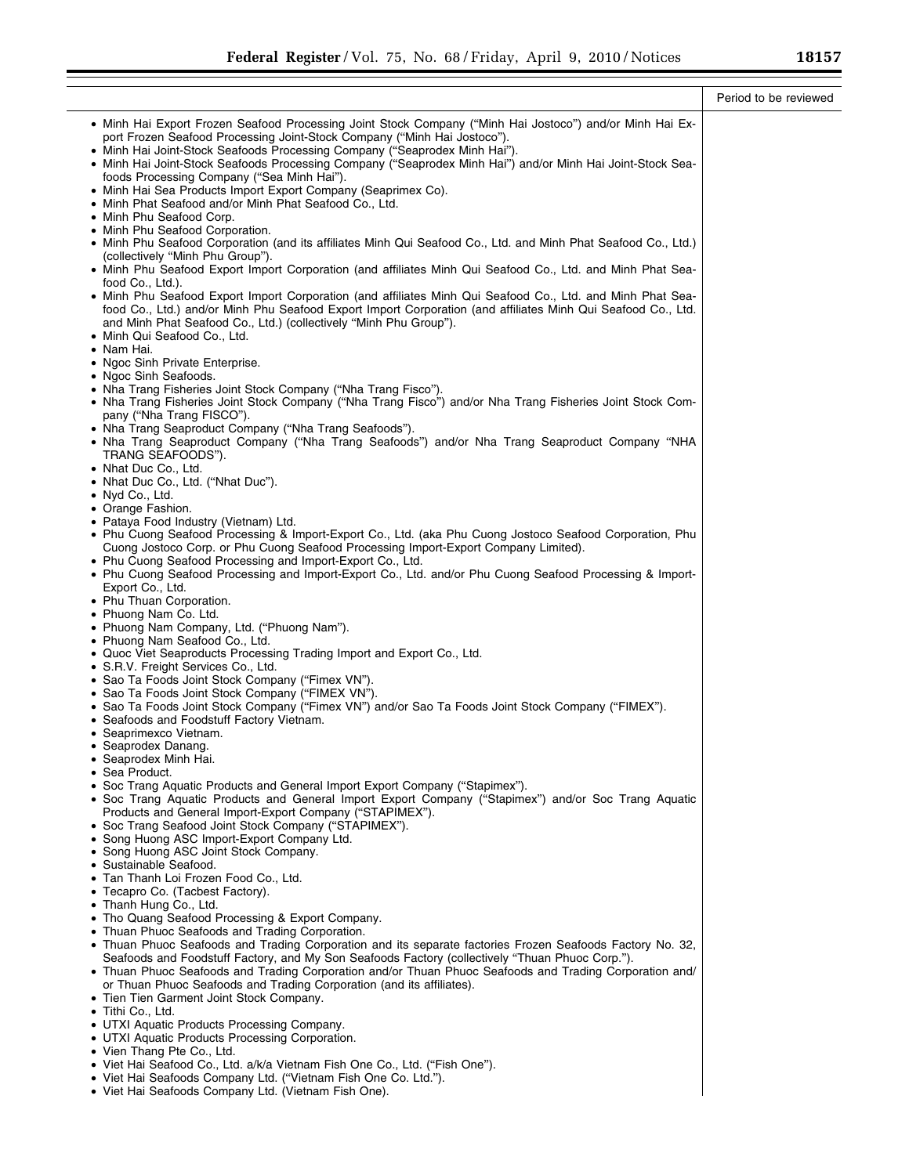|                                                                                                                                                                                                                                                                                                                                                                                                                                                                                                                                                                                                                                                                                                                                                                                                                                                                                                                                                                                                                                                                                                                                                                                                                                                                                                                                                                                                                                                                                                                                                                                                                                                                                                                                                                                                                                                                                                                                                                                                                                                                                                                                                                                                                                                                                                                                                                                                                 | Period to be reviewed |
|-----------------------------------------------------------------------------------------------------------------------------------------------------------------------------------------------------------------------------------------------------------------------------------------------------------------------------------------------------------------------------------------------------------------------------------------------------------------------------------------------------------------------------------------------------------------------------------------------------------------------------------------------------------------------------------------------------------------------------------------------------------------------------------------------------------------------------------------------------------------------------------------------------------------------------------------------------------------------------------------------------------------------------------------------------------------------------------------------------------------------------------------------------------------------------------------------------------------------------------------------------------------------------------------------------------------------------------------------------------------------------------------------------------------------------------------------------------------------------------------------------------------------------------------------------------------------------------------------------------------------------------------------------------------------------------------------------------------------------------------------------------------------------------------------------------------------------------------------------------------------------------------------------------------------------------------------------------------------------------------------------------------------------------------------------------------------------------------------------------------------------------------------------------------------------------------------------------------------------------------------------------------------------------------------------------------------------------------------------------------------------------------------------------------|-----------------------|
| • Minh Hai Export Frozen Seafood Processing Joint Stock Company ("Minh Hai Jostoco") and/or Minh Hai Ex-<br>port Frozen Seafood Processing Joint-Stock Company ("Minh Hai Jostoco").<br>• Minh Hai Joint-Stock Seafoods Processing Company ("Seaprodex Minh Hai").<br>• Minh Hai Joint-Stock Seafoods Processing Company ("Seaprodex Minh Hai") and/or Minh Hai Joint-Stock Sea-<br>foods Processing Company ("Sea Minh Hai").<br>• Minh Hai Sea Products Import Export Company (Seaprimex Co).<br>• Minh Phat Seafood and/or Minh Phat Seafood Co., Ltd.<br>• Minh Phu Seafood Corp.<br>• Minh Phu Seafood Corporation.<br>• Minh Phu Seafood Corporation (and its affiliates Minh Qui Seafood Co., Ltd. and Minh Phat Seafood Co., Ltd.)<br>(collectively "Minh Phu Group").<br>• Minh Phu Seafood Export Import Corporation (and affiliates Minh Qui Seafood Co., Ltd. and Minh Phat Sea-<br>food Co., Ltd.).<br>• Minh Phu Seafood Export Import Corporation (and affiliates Minh Qui Seafood Co., Ltd. and Minh Phat Sea-<br>food Co., Ltd.) and/or Minh Phu Seafood Export Import Corporation (and affiliates Minh Qui Seafood Co., Ltd.<br>and Minh Phat Seafood Co., Ltd.) (collectively "Minh Phu Group").<br>• Minh Qui Seafood Co., Ltd.<br>• Nam Hai.<br>• Ngoc Sinh Private Enterprise.<br>• Ngoc Sinh Seafoods.<br>• Nha Trang Fisheries Joint Stock Company ("Nha Trang Fisco").<br>• Nha Trang Fisheries Joint Stock Company ("Nha Trang Fisco") and/or Nha Trang Fisheries Joint Stock Com-<br>pany ("Nha Trang FISCO").<br>• Nha Trang Seaproduct Company ("Nha Trang Seafoods").<br>. Nha Trang Seaproduct Company ("Nha Trang Seafoods") and/or Nha Trang Seaproduct Company "NHA<br>TRANG SEAFOODS").<br>• Nhat Duc Co., Ltd.<br>• Nhat Duc Co., Ltd. ("Nhat Duc").<br>• Nyd Co., Ltd.<br>• Orange Fashion.<br>• Pataya Food Industry (Vietnam) Ltd.<br>• Phu Cuong Seafood Processing & Import-Export Co., Ltd. (aka Phu Cuong Jostoco Seafood Corporation, Phu<br>Cuong Jostoco Corp. or Phu Cuong Seafood Processing Import-Export Company Limited).<br>• Phu Cuong Seafood Processing and Import-Export Co., Ltd.<br>. Phu Cuong Seafood Processing and Import-Export Co., Ltd. and/or Phu Cuong Seafood Processing & Import-<br>Export Co., Ltd.<br>• Phu Thuan Corporation.<br>• Phuong Nam Co. Ltd.<br>• Phuong Nam Company, Ltd. ("Phuong Nam").<br>• Phuong Nam Seafood Co., Ltd. |                       |
| • Quoc Viet Seaproducts Processing Trading Import and Export Co., Ltd.<br>• S.R.V. Freight Services Co., Ltd.<br>• Sao Ta Foods Joint Stock Company ("Fimex VN").<br>• Sao Ta Foods Joint Stock Company ("FIMEX VN").<br>• Sao Ta Foods Joint Stock Company ("Fimex VN") and/or Sao Ta Foods Joint Stock Company ("FIMEX").<br>• Seafoods and Foodstuff Factory Vietnam.<br>• Seaprimexco Vietnam.<br>• Seaprodex Danang.<br>• Seaprodex Minh Hai.<br>Sea Product.<br>• Soc Trang Aquatic Products and General Import Export Company ("Stapimex").<br>• Soc Trang Aquatic Products and General Import Export Company ("Stapimex") and/or Soc Trang Aquatic<br>Products and General Import-Export Company ("STAPIMEX").<br>• Soc Trang Seafood Joint Stock Company ("STAPIMEX").<br>• Song Huong ASC Import-Export Company Ltd.<br>• Song Huong ASC Joint Stock Company.<br>• Sustainable Seafood.<br>• Tan Thanh Loi Frozen Food Co., Ltd.<br>• Tecapro Co. (Tacbest Factory).<br>• Thanh Hung Co., Ltd.<br>• Tho Quang Seafood Processing & Export Company.<br>• Thuan Phuoc Seafoods and Trading Corporation.<br>• Thuan Phuoc Seafoods and Trading Corporation and its separate factories Frozen Seafoods Factory No. 32,<br>Seafoods and Foodstuff Factory, and My Son Seafoods Factory (collectively "Thuan Phuoc Corp.").<br>• Thuan Phuoc Seafoods and Trading Corporation and/or Thuan Phuoc Seafoods and Trading Corporation and/<br>or Thuan Phuoc Seafoods and Trading Corporation (and its affiliates).<br>• Tien Tien Garment Joint Stock Company.<br>· Tithi Co., Ltd.<br>• UTXI Aquatic Products Processing Company.<br>• UTXI Aquatic Products Processing Corporation.<br>• Vien Thang Pte Co., Ltd.<br>• Viet Hai Seafood Co., Ltd. a/k/a Vietnam Fish One Co., Ltd. ("Fish One").<br>• Viet Hai Seafoods Company Ltd. ("Vietnam Fish One Co. Ltd.").<br>• Viet Hai Seafoods Company Ltd. (Vietnam Fish One).                                                                                                                                                                                                                                                                                                                                                                                                                                                                                  |                       |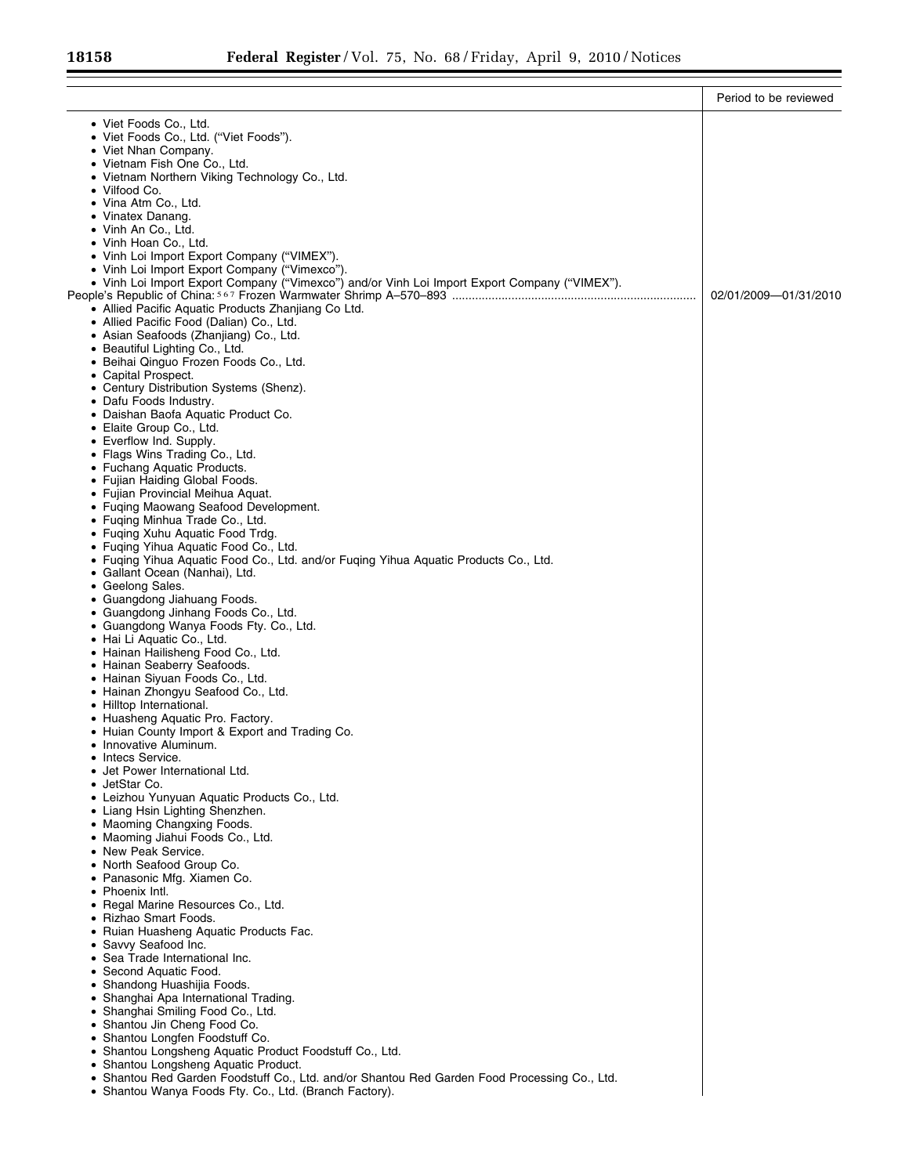$\equiv$ 

|                                                                                                                                                | Period to be reviewed |
|------------------------------------------------------------------------------------------------------------------------------------------------|-----------------------|
| • Viet Foods Co., Ltd.                                                                                                                         |                       |
| • Viet Foods Co., Ltd. ("Viet Foods").                                                                                                         |                       |
| • Viet Nhan Company.                                                                                                                           |                       |
| • Vietnam Fish One Co., Ltd.                                                                                                                   |                       |
| • Vietnam Northern Viking Technology Co., Ltd.<br>• Vilfood Co.                                                                                |                       |
| • Vina Atm Co., Ltd.                                                                                                                           |                       |
| • Vinatex Danang.                                                                                                                              |                       |
| • Vinh An Co., Ltd.                                                                                                                            |                       |
| • Vinh Hoan Co., Ltd.                                                                                                                          |                       |
| • Vinh Loi Import Export Company ("VIMEX").                                                                                                    |                       |
| • Vinh Loi Import Export Company ("Vimexco").<br>• Vinh Loi Import Export Company ("Vimexco") and/or Vinh Loi Import Export Company ("VIMEX"). |                       |
|                                                                                                                                                | 02/01/2009-01/31/2010 |
| • Allied Pacific Aquatic Products Zhanjiang Co Ltd.                                                                                            |                       |
| • Allied Pacific Food (Dalian) Co., Ltd.                                                                                                       |                       |
| • Asian Seafoods (Zhanjiang) Co., Ltd.                                                                                                         |                       |
| • Beautiful Lighting Co., Ltd.                                                                                                                 |                       |
| • Beihai Qinguo Frozen Foods Co., Ltd.<br>• Capital Prospect.                                                                                  |                       |
| • Century Distribution Systems (Shenz).                                                                                                        |                       |
| • Dafu Foods Industry.                                                                                                                         |                       |
| • Daishan Baofa Aguatic Product Co.                                                                                                            |                       |
| • Elaite Group Co., Ltd.                                                                                                                       |                       |
| • Everflow Ind. Supply.<br>• Flags Wins Trading Co., Ltd.                                                                                      |                       |
| • Fuchang Aquatic Products.                                                                                                                    |                       |
| • Fujian Haiding Global Foods.                                                                                                                 |                       |
| • Fujian Provincial Meihua Aquat.                                                                                                              |                       |
| • Fuqing Maowang Seafood Development.                                                                                                          |                       |
| • Fuging Minhua Trade Co., Ltd.                                                                                                                |                       |
| • Fuqing Xuhu Aquatic Food Trdg<br>• Fuqing Yihua Aquatic Food Co., Ltd.                                                                       |                       |
| • Fuging Yihua Aquatic Food Co., Ltd. and/or Fuging Yihua Aquatic Products Co., Ltd.                                                           |                       |
| • Gallant Ocean (Nanhai), Ltd.                                                                                                                 |                       |
| • Geelong Sales.                                                                                                                               |                       |
| • Guangdong Jiahuang Foods.                                                                                                                    |                       |
| • Guangdong Jinhang Foods Co., Ltd.                                                                                                            |                       |
| • Guangdong Wanya Foods Fty. Co., Ltd.<br>• Hai Li Aquatic Co., Ltd.                                                                           |                       |
| • Hainan Hailisheng Food Co., Ltd.                                                                                                             |                       |
| • Hainan Seaberry Seafoods.                                                                                                                    |                       |
| • Hainan Siyuan Foods Co., Ltd.                                                                                                                |                       |
| • Hainan Zhongyu Seafood Co., Ltd.                                                                                                             |                       |
| • Hilltop International.<br>• Huasheng Aquatic Pro. Factory.                                                                                   |                       |
| • Huian County Import & Export and Trading Co.                                                                                                 |                       |
| • Innovative Aluminum.                                                                                                                         |                       |
| • Intecs Service.                                                                                                                              |                       |
| • Jet Power International Ltd.                                                                                                                 |                       |
| • JetStar Co.                                                                                                                                  |                       |
| • Leizhou Yunyuan Aquatic Products Co., Ltd.<br>• Liang Hsin Lighting Shenzhen.                                                                |                       |
| • Maoming Changxing Foods.                                                                                                                     |                       |
| • Maoming Jiahui Foods Co., Ltd.                                                                                                               |                       |
| • New Peak Service.                                                                                                                            |                       |
| • North Seafood Group Co.                                                                                                                      |                       |
| • Panasonic Mfg. Xiamen Co.<br>• Phoenix Intl.                                                                                                 |                       |
| • Regal Marine Resources Co., Ltd.                                                                                                             |                       |
| • Rizhao Smart Foods.                                                                                                                          |                       |
| • Ruian Huasheng Aquatic Products Fac.                                                                                                         |                       |
| • Savvy Seafood Inc.                                                                                                                           |                       |
| • Sea Trade International Inc.                                                                                                                 |                       |
| • Second Aquatic Food.<br>• Shandong Huashijia Foods.                                                                                          |                       |
| • Shanghai Apa International Trading.                                                                                                          |                       |
| • Shanghai Smiling Food Co., Ltd.                                                                                                              |                       |
| • Shantou Jin Cheng Food Co.                                                                                                                   |                       |
| • Shantou Longfen Foodstuff Co.                                                                                                                |                       |
| • Shantou Longsheng Aquatic Product Foodstuff Co., Ltd.                                                                                        |                       |
| • Shantou Longsheng Aquatic Product.<br>• Shantou Red Garden Foodstuff Co., Ltd. and/or Shantou Red Garden Food Processing Co., Ltd.           |                       |
| • Shantou Wanya Foods Fty. Co., Ltd. (Branch Factory).                                                                                         |                       |
|                                                                                                                                                |                       |